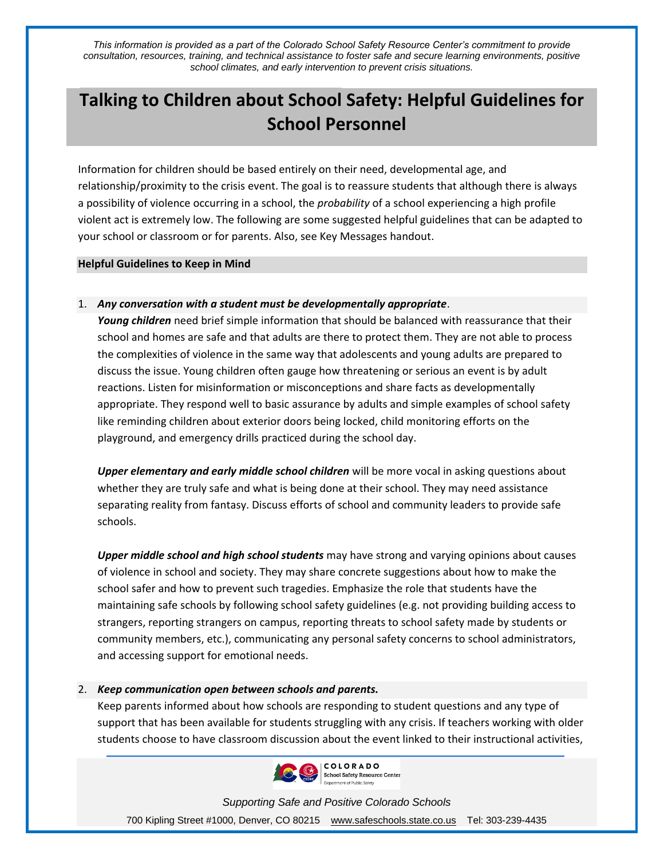*This information is provided as a part of the Colorado School Safety Resource Center's commitment to provide consultation, resources, training, and technical assistance to foster safe and secure learning environments, positive school climates, and early intervention to prevent crisis situations.*

# **Talking to Children about School Safety: Helpful Guidelines for School Personnel**

Information for children should be based entirely on their need, developmental age, and relationship/proximity to the crisis event. The goal is to reassure students that although there is always a possibility of violence occurring in a school, the *probability* of a school experiencing a high profile violent act is extremely low. The following are some suggested helpful guidelines that can be adapted to your school or classroom or for parents. Also, see Key Messages handout.

#### **Helpful Guidelines to Keep in Mind**

## 1. *Any conversation with a student must be developmentally appropriate*.

*Young children* need brief simple information that should be balanced with reassurance that their school and homes are safe and that adults are there to protect them. They are not able to process the complexities of violence in the same way that adolescents and young adults are prepared to discuss the issue. Young children often gauge how threatening or serious an event is by adult reactions. Listen for misinformation or misconceptions and share facts as developmentally appropriate. They respond well to basic assurance by adults and simple examples of school safety like reminding children about exterior doors being locked, child monitoring efforts on the playground, and emergency drills practiced during the school day.

*Upper elementary and early middle school children* will be more vocal in asking questions about whether they are truly safe and what is being done at their school. They may need assistance separating reality from fantasy. Discuss efforts of school and community leaders to provide safe schools.

*Upper middle school and high school students* may have strong and varying opinions about causes of violence in school and society. They may share concrete suggestions about how to make the school safer and how to prevent such tragedies. Emphasize the role that students have the maintaining safe schools by following school safety guidelines (e.g. not providing building access to strangers, reporting strangers on campus, reporting threats to school safety made by students or community members, etc.), communicating any personal safety concerns to school administrators, and accessing support for emotional needs.

## 2. *Keep communication open between schools and parents.*

Keep parents informed about how schools are responding to student questions and any type of support that has been available for students struggling with any crisis. If teachers working with older students choose to have classroom discussion about the event linked to their instructional activities,



*Supporting Safe and Positive Colorado Schools* 700 Kipling Street #1000, Denver, CO 80215 [www.safeschools.state.co.us](http://www.safeschools.state.co.us/) Tel: 303-239-4435